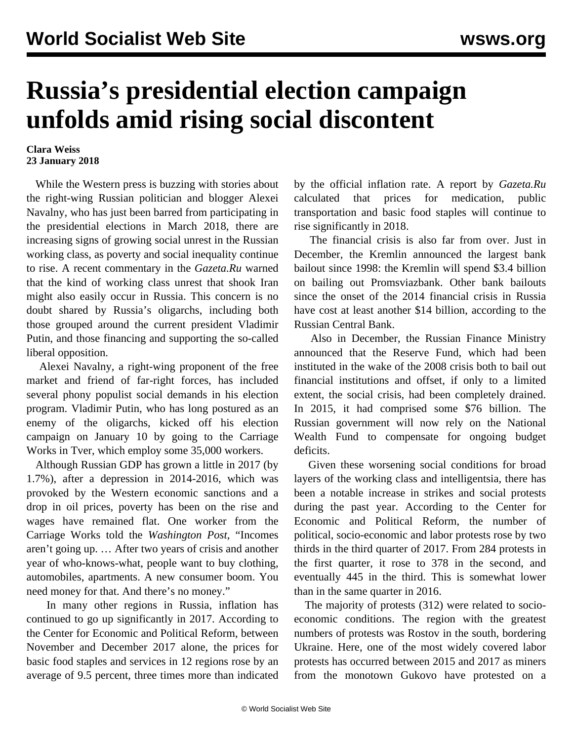## **Russia's presidential election campaign unfolds amid rising social discontent**

## **Clara Weiss 23 January 2018**

 While the Western press is buzzing with stories about the right-wing Russian politician and blogger Alexei Navalny, who has just been barred from participating in the presidential elections in March 2018, there are increasing signs of growing social unrest in the Russian working class, as poverty and social inequality continue to rise. A recent commentary in the *Gazeta.Ru* warned that the kind of working class unrest that shook Iran might also easily occur in Russia. This concern is no doubt shared by Russia's oligarchs, including both those grouped around the current president Vladimir Putin, and those financing and supporting the so-called liberal opposition.

 Alexei Navalny, a right-wing proponent of the free market and friend of far-right forces, has included several phony populist social demands in his election program. Vladimir Putin, who has long postured as an enemy of the oligarchs, kicked off his election campaign on January 10 by going to the Carriage Works in Tver, which employ some 35,000 workers.

 Although Russian GDP has grown a little in 2017 (by 1.7%), after a depression in 2014-2016, which was provoked by the Western economic sanctions and a drop in oil prices, poverty has been on the rise and wages have remained flat. One worker from the Carriage Works told the *Washington Post*, "Incomes aren't going up. … After two years of crisis and another year of who-knows-what, people want to buy clothing, automobiles, apartments. A new consumer boom. You need money for that. And there's no money."

 In many other regions in Russia, inflation has continued to go up significantly in 2017. According to the Center for Economic and Political Reform, between November and December 2017 alone, the prices for basic food staples and services in 12 regions rose by an average of 9.5 percent, three times more than indicated by the official inflation rate. A report by *Gazeta.Ru* calculated that prices for medication, public transportation and basic food staples will continue to rise significantly in 2018.

 The financial crisis is also far from over. Just in December, the Kremlin announced the largest bank bailout since 1998: the Kremlin will spend \$3.4 billion on bailing out Promsviazbank. Other bank bailouts since the onset of the 2014 financial crisis in Russia have cost at least another \$14 billion, according to the Russian Central Bank.

 Also in December, the Russian Finance Ministry announced that the Reserve Fund, which had been instituted in the wake of the 2008 crisis both to bail out financial institutions and offset, if only to a limited extent, the social crisis, had been completely drained. In 2015, it had comprised some \$76 billion. The Russian government will now rely on the National Wealth Fund to compensate for ongoing budget deficits.

 Given these worsening social conditions for broad layers of the working class and intelligentsia, there has been a notable increase in strikes and social protests during the past year. According to the Center for Economic and Political Reform, the number of political, socio-economic and labor protests rose by two thirds in the third quarter of 2017. From 284 protests in the first quarter, it rose to 378 in the second, and eventually 445 in the third. This is somewhat lower than in the same quarter in 2016.

 The majority of protests (312) were related to socioeconomic conditions. The region with the greatest numbers of protests was Rostov in the south, bordering Ukraine. Here, one of the most widely covered labor protests has occurred between 2015 and 2017 as miners from the monotown Gukovo have protested on a